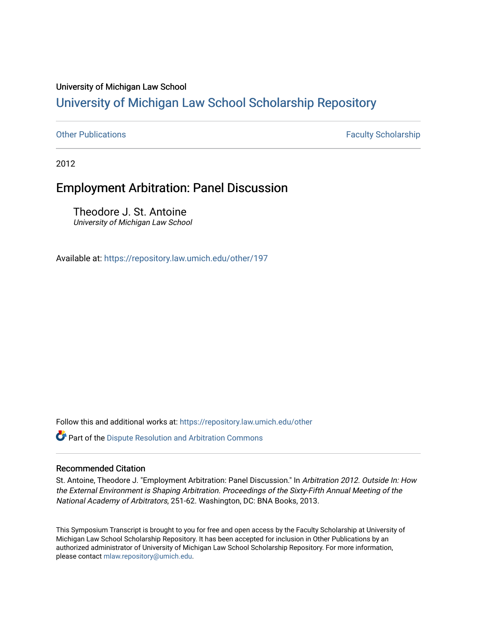### University of Michigan Law School

# [University of Michigan Law School Scholarship Repository](https://repository.law.umich.edu/)

[Other Publications](https://repository.law.umich.edu/other) **Faculty Scholarship Faculty Scholarship Faculty Scholarship** 

2012

## Employment Arbitration: Panel Discussion

Theodore J. St. Antoine University of Michigan Law School

Available at: <https://repository.law.umich.edu/other/197>

Follow this and additional works at: [https://repository.law.umich.edu/other](https://repository.law.umich.edu/other?utm_source=repository.law.umich.edu%2Fother%2F197&utm_medium=PDF&utm_campaign=PDFCoverPages)

Part of the [Dispute Resolution and Arbitration Commons](http://network.bepress.com/hgg/discipline/890?utm_source=repository.law.umich.edu%2Fother%2F197&utm_medium=PDF&utm_campaign=PDFCoverPages) 

#### Recommended Citation

St. Antoine, Theodore J. "Employment Arbitration: Panel Discussion." In Arbitration 2012. Outside In: How the External Environment is Shaping Arbitration. Proceedings of the Sixty-Fifth Annual Meeting of the National Academy of Arbitrators, 251-62. Washington, DC: BNA Books, 2013.

This Symposium Transcript is brought to you for free and open access by the Faculty Scholarship at University of Michigan Law School Scholarship Repository. It has been accepted for inclusion in Other Publications by an authorized administrator of University of Michigan Law School Scholarship Repository. For more information, please contact [mlaw.repository@umich.edu.](mailto:mlaw.repository@umich.edu)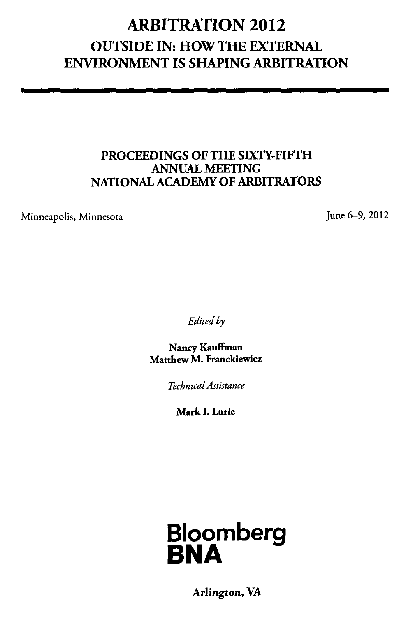## ARBITRATION 2012 OUTSIDE IN: HOW THE EXTERNAL ENVIRONMENT IS SHAPING ARBITRATION

#### PROCEEDINGS OF THE SIXTY-FIFTH ANNUAL MEETING NATIONAL ACADEMY OF ARBITRATORS

Minneapolis, Minnesota

June 6-9, 2012

*Edited* by

Nancy Kauffman Matthew M. Franckiewicz

*Technical Assistance* 

Mark I. Lurie



Arlington, VA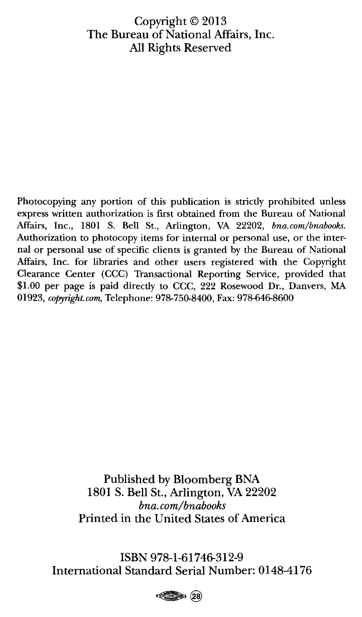#### Copyright© 2013 The Bureau of National Affairs, Inc. All Rights Reserved

Photocopying any portion of this publication is strictly prohibited unless express written authorization is first obtained from the Bureau of National Affairs, Inc., 1801 S. Bell St., Arlington, VA 22202, *bna.com/bnabooks.*  Authorization to photocopy items for internal or personal use, or the internal or personal use of specific clients is granted by the Bureau of National Affairs, Inc. for libraries and other users registered with the Copyright Clearance Center (CCC) Transactional Reporting Service, provided that \$1.00 per page is paid directly to CCC, 222 Rosewood Dr., Danvers, MA 01923, *copyright.com,* Telephone: 978-750-8400, Fax: 978-646-8600

> Published by Bloomberg BNA 1801 S. Bell St., Arlington, VA 22202 *bna. com/bnabooks*  Printed in the United States of America

**ISBN** 978-1-61746-312-9 International Standard Serial Number: 0148-4176

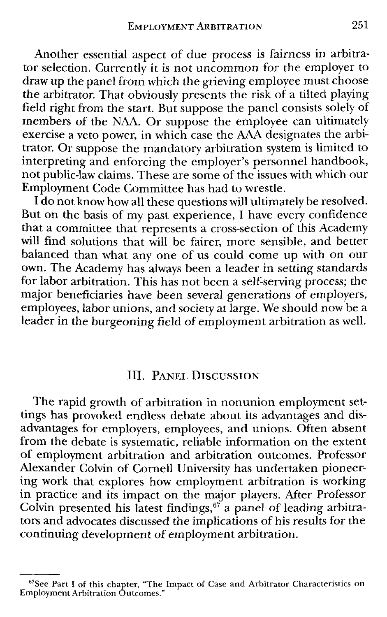Another essential aspect of due process is fairness in arbitrator selection. Currently it is not uncommon for the employer to draw up the panel from which the grieving employee must choose the arbitrator. That obviously presents the risk of a tilted playing field right from the start. But suppose the panel consists solely of members of the NAA. Or suppose the employee can ultimately exercise a veto power, in which case the AAA designates the arbitrator. Or suppose the mandatory arbitration system is limited to interpreting and enforcing the employer's personnel handbook, not public-law claims. These are some of the issues with which our Employment Code Committee has had to wrestle.

I do not know how all these questions will ultimately be resolved. But on the basis of my past experience, I have every confidence that a committee that represents a cross-section of this Academy will find solutions that will be fairer, more sensible, and better balanced than what any one of us could come up with on our own. The Academy has always been a leader in setting standards for labor arbitration. This has not been a self-serving process; the major beneficiaries have been several generations of employers, employees, labor unions, and society at large. We should now be a leader in the burgeoning field of employment arbitration as well.

## Ill. PANEL DISCUSSION

The rapid growth of arbitration in nonunion employment settings has provoked endless debate about its advantages and disadvantages for employers, employees, and unions. Often absent from the debate is systematic, reliable information on the extent of employment arbitration and arbitration outcomes. Professor Alexander Colvin of Cornell University has undertaken pioneering work that explores how employment arbitration is working in practice and its impact on the major players. After Professor Colvin presented his latest findings,  $\delta^7$  a panel of leading arbitrators and advocates discussed the implications of his results for the continuing development of employment arbitration.

 $67$ See Part I of this chapter, "The Impact of Case and Arbitrator Characteristics on Employment Arbitration Outcomes."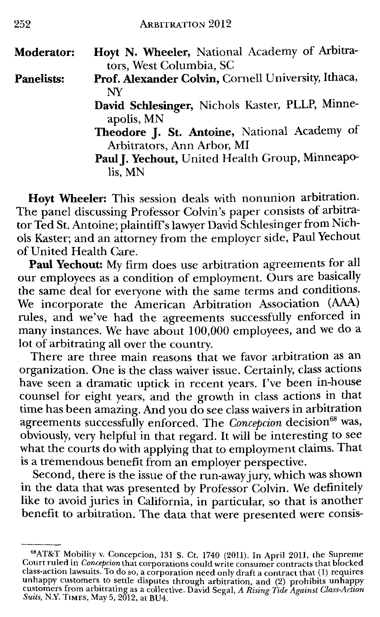| Moderator:        | Hoyt N. Wheeler, National Academy of Arbitra-       |
|-------------------|-----------------------------------------------------|
|                   | tors, West Columbia, SC                             |
| <b>Panelists:</b> | Prof. Alexander Colvin, Cornell University, Ithaca, |
|                   | NY                                                  |
|                   | David Schlesinger, Nichols Kaster, PLLP, Minne-     |
|                   | apolis, MN                                          |
|                   | Theodore J. St. Antoine, National Academy of        |
|                   | Arbitrators, Ann Arbor, MI                          |
|                   | Paul J. Yechout, United Health Group, Minneapo-     |
|                   | lis, MN                                             |

**Hoyt Wheeler:** This session deals with nonunion arbitration. The panel discussing Professor Colvin 's paper consists of arbitrator Ted St. Antoine; plaintiff's lawyer David Schlesinger from Nichols Kaster; and an attorney from the employer side, Paul Yechout of United Health Care.

**Paul Yechout:** My firm does use arbitration agreements for all our employees as a condition of employment. Ours are basically the same deal for everyone with the same terms and conditions. We incorporate the American Arbitration Association (AAA) rules, and we've had the agreements successfully enforced in many instances. We have about 100,000 employees, and we do a lot of arbitrating all over the country.

There are three main reasons that we favor arbitration as an organization. One is the class waiver issue. Certainly, class actions have seen a dramatic uptick in recent years. I've been in-house counsel for eight years, and the growth in class actions in that time has been amazing. And you do see class waivers in arbitration agreements successfully enforced. The *Concepcion* decision<sup>68</sup> was, obviously, very helpful in that regard. It will be interesting to see what the courts do with applying that to employment claims. That is a tremendous benefit from an employer perspective.

Second, there is the issue of the run-away jury, which was shown in the data that was presented by Professor Colvin. We definitely like to avoid juries in California, in particular, so that is another benefit to arbitration. The data that were presented were consis-

<sup>&</sup>lt;sup>68</sup>AT&T Mobility v. Concepcion, 131 S. Ct. 1740 (2011). In April 2011, the Supreme Court ruled in *Concepcion* that corporations could write consumer contracts that blocked<br>class-action lawsuits. To do so, a corporation need only draft a contract that (1) requires unhappy customers to settle disputes through arbitration, and (2) prohibits unhappy<br>customers from arbitrating as a collective. David Segal, *A Rising Tide Against Class-Action Suits,* N.Y. TIMES, May 5, 2012, at BU4.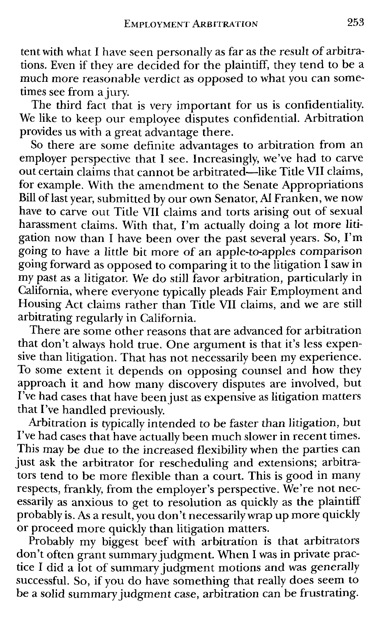tent with what I have seen personally as far as the result of arbitrations. Even if they are decided for the plaintiff, they tend to be a much more reasonable verdict as opposed to what you can sometimes see from a jury.

The third fact that is very important for us is confidentiality. We like to keep our employee disputes confidential. Arbitration provides us with a great advantage there.

So there are some definite advantages to arbitration from an employer perspective that I see. Increasingly, we've had to carve out certain claims that cannot be arbitrated-like Title VII claims, for example. With the amendment to the Senate Appropriations Bill oflast year, submitted by our own Senator, Al Franken, we now have to carve out Title VII claims and torts arising out of sexual harassment claims. With that, I'm actually doing a lot more litigation now than I have been over the past several years. So, I'm going to have a little bit more of an apple-to-apples comparison going forward as opposed to comparing it to the litigation I saw in my past as a litigator. We do still favor arbitration, particularly in California, where everyone typically pleads Fair Employment and Housing Act claims rather than Title VII claims, and we are still arbitrating regularly in California.

There are some other reasons that are advanced for arbitration that don't always hold true. One argument is that it's less expensive than litigation. That has not necessarily been my experience. To some extent it depends on opposing counsel and how they approach it and how many discovery disputes are involved, but I've had cases that have been just as expensive as litigation matters that I've handled previously.

Arbitration is typically intended to be faster than litigation, but I've had cases that have actually been much slower in recent times. This may be due to the increased flexibility when the parties can just ask the arbitrator for rescheduling and extensions; arbitrators tend to be more flexible than a court. This is good in many respects, frankly, from the employer's perspective. We're not necessarily as anxious to get to resolution as quickly as the plaintiff probably is. As a result, you don't necessarily wrap up more quickly or proceed more quickly than litigation matters.

Probably my biggest beef with arbitration is that arbitrators don't often grant summary judgment. When I was in private practice I did a lot of summary judgment motions and was generally successful. So, if you do have something that really does seem to be a solid summary judgment case, arbitration can be frustrating.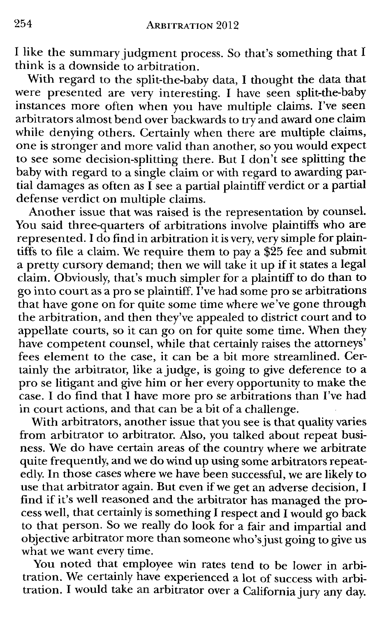I like the summary judgment process. So that's something that I think is a downside to arbitration.

With regard to the split-the-baby data, I thought the data that were presented are very interesting. I have seen split-the-baby instances more often when you have multiple claims. I've seen arbitrators almost bend over backwards to try and award one claim while denying others. Certainly when there are multiple claims, one is stronger and more valid than another, so you would expect to see some decision-splitting there. But I don't see splitting the baby with regard to a single claim or with regard to awarding partial damages as often as  $\bar{\rm I}$  see a partial plaintiff verdict or a partial defense verdict on multiple claims.

Another issue that was raised is the representation by counsel. You said three-quarters of arbitrations involve plaintiffs who are represented. I do find in arbitration it is very, very simple for plaintiffs to file a claim. We require them to pay a \$25 fee and submit a pretty cursory demand; then we will take it up if it states a legal claim. Obviously, that's much simpler for a plaintiff to do than to go into court as a pro se plaintiff. I've had some pro se arbitrations that have gone on for quite some time where we've gone through the arbitration, and then they've appealed to district court and to appellate courts, so it can go on for quite some time. When they have competent counsel, while that certainly raises the attorneys' fees element to the case, it can be a bit more streamlined. Certainly the arbitrator, like a judge, is going to give deference to a pro se litigant and give him or her every opportunity to make the case. I do find that I have more prose arbitrations than I've had in court actions, and that can be a bit of a challenge.

With arbitrators, another issue that you see is that quality varies from arbitrator to arbitrator. Also, you talked about repeat business. We do have certain areas of the country where we arbitrate quite frequently, and we do wind up using some arbitrators repeatedly. In those cases where we have been successful, we are likely to use that arbitrator again. But even if we get an adverse decision, I find if it's well reasoned and the arbitrator has managed the process well, that certainly is something I respect and I would go back to that person. So we really do look for a fair and impartial and objective arbitrator more than someone who's just going to give us what we want every time.

You noted that employee win rates tend to be lower in arbitration. We certainly have experienced a lot of success with arbitration. I would take an arbitrator over a California jury any day.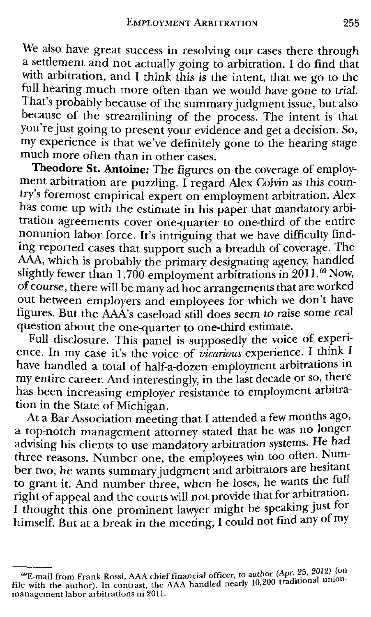We also have great success in resolving our cases there through a settlement and not actually going to arbitration. I do find that with arbitration, and I think this is the intent, that we go to the full hearing much more often than we would have gone to trial. That's probably because of the summary judgment issue, but also because of the streamlining of the process. The intent is that you're just going to present your evidence and get a decision. So, my experience is that we've definitely gone to the hearing stage much more often than in other cases.

**Theodore St. Antoine:** The figures on the coverage of employment arbitration are puzzling. I regard Alex Colvin as this country's foremost empirical expert on employment arbitration. Alex has come up with the estimate in his paper that mandatory arbitration agreements cover one-quarter to one-third of the entire nonunion labor force. It's intriguing that we have difficulty findmg reported cases that support such a breadth of coverage. The ing reported cases that support such a breadth of coverage. The AAA, which is probably the primary designating agency, handled slightly fewer than 1,700 employment arbitrations in 2011.<sup>69</sup> Now, of course, there will be many ad hoc arrangements that are worked out between employers and employees for which we don't have figures. But the AAA's caseload still does seem to raise some real question about the one-quarter to one-third estimate. .

Full disclosure. This panel is supposedly the voice of experience. In my case it's the voice of *vicarious* experience. I think I have handled a total of half-a-dozen employment arbitrations in my entire career. And interestingly, in the last decade or so, there has been increasing employer resistance to employment arbitration in the State of Michigan.

At a Bar Association meeting that I attended a few months ago, a top-notch management attorney stated that he was no longer advising his clients to use mandatory arbitration systems. He had three reasons. Number one, the employees win too often. Number two, he wants summary judgment and arbitrators are hesitant to grant it. And number three, when he loses, he wants the full right of appeal and the courts will not provide that for arbitration. I thought this one prominent lawyer might be speaking just for himself. But at a break in the meeting, I could not find any of my

<sup>69</sup>E-mail from Frank Rossi, AAA chief financial officer, to author (Ap~-~5• 2 f 12~i~o: file with the author). In contrast, the AAA handled nearly 10,200 tra iuona u management labor arbitrations in 2011.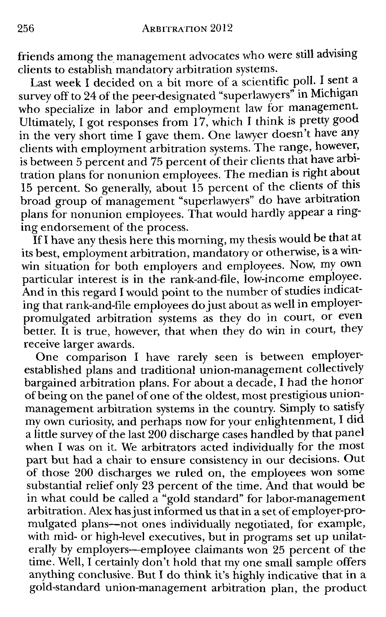friends among the management advocates who were still advising clients to establish mandatory arbitration systems.<br>Last week I decided on a bit more of a scientific poll. I sent a

Last week I decided on a bit more of a scientific poll. I sent a survey off to 24 of the peer-designated "superlawyers" in Michigan who specialize in labor and employment law for management. Ultimately, I got responses from 17, which I think is pretty good in the very short time I gave them. One lawyer doesn't have any clients with employment arbitration systems. The range, however, is between 5 percent and 75 percent of their clients that have arbitration plans for nonunion employees. The median is right about 15 percent. So generally, about 15 percent of the clients of this broad group of management "superlawyers" do have arbitration plans for nonunion employees. That would hardly appear a ringplans for noncmoned sur-

If I have any thesis here this morning, my thesis would be that at its best, employment arbitration, mandatory or otherwise, is a winwin situation for both employers and employees. Now, my own particular interest is in the rank-and-file, low-income employee. And in this regard I would point to the number of studies indicating that rank-and-file employees do just about as well in employerpromulgated arbitration systems as they do in court, or even better. It is true, however, that when they do win in court, they receive larger awards.

One comparison I have rarely seen is between employerestablished plans and traditional union-management collectively bargained arbitration plans. For about a decade, I had the honor of being on the panel of one of the oldest, most prestigious unionmanagement arbitration systems in the country. Simply to satisfy my own curiosity, and perhaps now for your enlightenment, I did a little survey of the last 200 discharge cases handled by that panel when I was on it. We arbitrators acted individually for the most part but had a chair to ensure consistency in our decisions. Out of those 200 discharges we ruled on, the employees won some substantial relief only 23 percent of the time. And that would be in what could be called a "gold standard" for labor-management arbitration. Alex has just informed us that in a set of employer-promulgated plans-not ones individually negotiated, for example, with mid- or high-level executives, but in programs set up unilaterally by employers-employee claimants won 25 percent of the time. Well, I certainly don't hold that my one small sample offers anything conclusive. But I do think it's highly indicative that in a gold-standard union-management arbitration plan, the product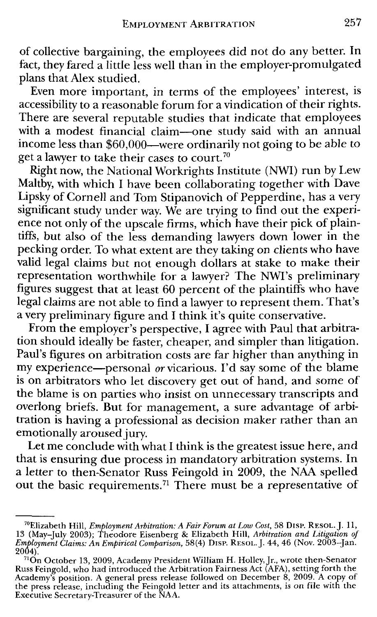of collective bargaining, the employees did not do any better. In fact, they fared a little less well than in the employer-promulgated plans that Alex studied.

Even more important, in terms of the employees' interest, is accessibility to a reasonable forum for a vindication of their rights. There are several reputable studies that indicate that employees with a modest financial claim-one study said with an annual income less than \$60,000-were ordinarily not going to be able to get a lawyer to take their cases to court.<sup>70</sup>

Right now, the National Workrights Institute (NWI) run by Lew Maltby, with which I have been collaborating together with Dave Lipsky of Cornell and Tom Stipanovich of Pepperdine, has a very significant study under way. We are trying to find out the experience not only of the upscale firms, which have their pick of plaintiffs, but also of the less demanding lawyers down lower in the pecking order. To what extent are they taking on clients who have valid legal claims but not enough dollars at stake to make their representation worthwhile for a lawyer? The NWI's preliminary figures suggest that at least 60 percent of the plaintiffs who have legal claims are not able to find a lawyer to represent them. That's a very preliminary figure and I think it's quite conservative.

From the employer's perspective, I agree with Paul that arbitration should ideally be faster, cheaper, and simpler than litigation. Paul's figures on arbitration costs are far higher than anything in my experience-personal *or* vicarious. I'd say some of the blame is on arbitrators who let discovery get out of hand, and some of the blame is on parties who insist on unnecessary transcripts and overlong briefs. But for management, a sure advantage of arbitration is having a professional as decision maker rather than an emotionally aroused jury.

Let me conclude with what I think is the greatest issue here, and that is ensuring due process in mandatory arbitration systems. In a letter to then-Senator Russ Feingold in 2009, the NAA spelled out the basic requirements. 71 There must be a representative of

<sup>&</sup>lt;sup>70</sup>Elizabeth Hill, *Employment Arbitration: A Fair Forum at Low Cost*, 58 DISP. RESOL. J. 11,<br>13 (May–July 2003); Theodore Eisenberg & Elizabeth Hill, *Arbitration and Litigation of*<br>*Employment Claims: An Empirical Compa* 

<sup>2004).&</sup>lt;br>- <sup>71</sup>On October 13, 2009, Academy President William H. Holley, Jr., wrote then-Senator<br>Russ Feingold, who had introduced the Arbitration Fairness Act (AFA), setting forth the Academy's position. A general press release followed on December 8, 2009. A copy of the press release, including the Feingold letter and its attachments, is on file with the Executive Secretary-Treasurer of the NAA.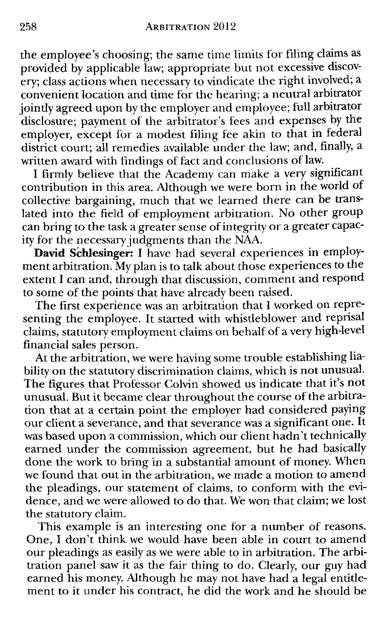the employee's choosing; the same time limits for filing claims as provided by applicable law; appropriate but not excessive discovery; class actions when necessary to vindicate the right involved; a convenient location and time for the hearing; a neutral arbitrator jointly agreed upon by the employer and employee; full arbitrator disclosure; payment of the arbitrator's fees and expenses by the employer, except for a modest filing fee akin to that in federal district court; all remedies available under the law; and, finally, a written award with findings of fact and conclusions of law.

I firmly believe that the Academy can make a very significant contribution in this area. Although we were born in the world of collective bargaining, much that we learned there can be translated into the field of employment arbitration. No other group can bring to the task a greater sense of integrity or a greater capacity for the necessary judgments than the NAA.

**David Schlesinger:** I have had several experiences in employment arbitration. My plan is to talk about those experiences to the extent I can and, through that discussion, comment and respond to some of the points that have already been raised.

The first experience was an arbitration that I worked on representing the employee. It started with whistleblower and reprisal claims, statutory employment claims on behalf of a very high-level financial sales person.

At the arbitration, we were having some trouble establishing liability on the statutory discrimination claims, which is not unusual. The figures that Professor Colvin showed us indicate that it's not unusual. But it became clear throughout the course of the arbitration that at a certain point the employer had considered paying our client a severance, and that severance was a significant one. It was based upon a commission, which our client hadn't technically earned under the commission agreement, but he had basically done the work to bring in a substantial amount of money. When we found that out in the arbitration, we made a motion to amend the pleadings, our statement of claims, to conform with the evidence, and we were allowed to do that. We won that claim; we lost the statutory claim.

This example is an interesting one for a number of reasons. One, I don't think we would have been able in court to amend our pleadings as easily as we were able to in arbitration. The arbitration panel saw it as the fair thing to do. Clearly, our guy had earned his money. Although he may not have had a legal entitlement to it under his contract, he did the work and he should be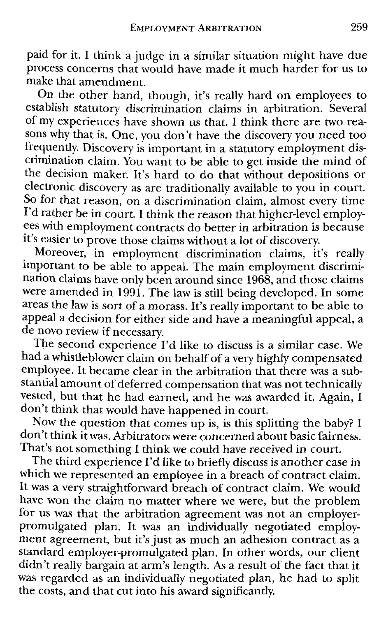paid for it. I think a judge in a similar situation might have due process concerns that would have made it much harder for us to make that amendment.

On the other hand, though, it's really hard on employees to establish statutory discrimination claims in arbitration. Several of my experiences have shown us that. I think there are two reasons why that is. One, you don't have the discovery you need too frequently. Discovery is important in a statutory employment discrimination claim. You want to be able to get inside the mind of the decision maker. It's hard to do that without depositions or electronic discovery as are traditionally available to you in court. So for that reason, on a discrimination claim, almost every time I'd rather be in court. I think the reason that higher-level employees with employment contracts do *better* in arbitration is because it's easier to prove those claims without a lot of discovery.

Moreover, in employment discrimination claims, it's really important to be able to appeal. The main employment discrimination claims have only been around since 1968, and those claims were amended in 1991. The law is still being developed. In some areas the law is sort of a morass. It's really important to be able to appeal a decision for either side and have a meaningful appeal, a de novo review if necessary.

The second experience I'd like to discuss is a similar case. We had a whistle blower claim on behalf of a very highly compensated employee. It became clear in the arbitration that there was a substantial amount of deferred compensation that was not technically vested, but that he had earned, and he was awarded it. Again,  $I$ don't think that would have happened in court.

Now the question that comes up is, is this splitting the baby? I don't think it was. Arbitrators *were* concerned about basic fairness. That's not something I think *we* could have received in court.

The third experience I'd like to briefly discuss is another case in which we represented an employee in a breach of contract claim. It was a very straightforward breach of contract claim. We would have won the claim no matter where we were, but the problem for us was that the arbitration agreement was not an employerpromulgated plan. It was an individually negotiated employment agreement, but it's just as much an adhesion contract as a standard employer-promulgated plan. In other words, our client didn't really bargain at arm's length. As a result of the fact that it was regarded as an individually negotiated plan, he had to split the costs, and that cut into his award significantly.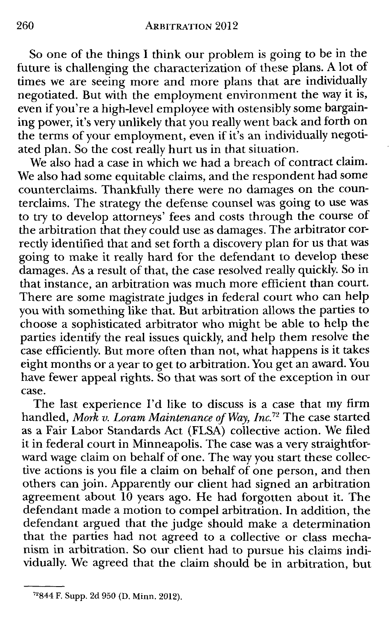So one of the things I think our problem is going to be in the future is challenging the characterization of these plans. A lot of times we are seeing more and more plans that are individually negotiated. But with the employment environment the way it is, even if you're a high-level employee with ostensibly some bargaining power, it's very unlikely that you really went back and forth on the terms of your employment, even if it's an individually negotiated plan. So the cost really hurt us in that situation.

We also had a case in which we had a breach of contract claim. We also had some equitable claims, and the respondent had some counterclaims. Thankfully there were no damages on the counterclaims. The strategy the defense counsel was going to use was to try to develop attorneys' fees and costs through the course of the arbitration that they could use as damages. The arbitrator correctly identified that and set forth a discovery plan for us that was going to make it really hard for the defendant to develop these damages. As a result of that, the case resolved really quickly. So in that instance, an arbitration was much more efficient than court. There are some magistrate judges in federal court who can help you with something like that. But arbitration allows the parties to choose a sophisticated arbitrator who might be able to help the parties identify the real issues quickly, and help them resolve the case efficiently. But more often than not, what happens is it takes eight months or a year to get to arbitration. You get an award. You have fewer appeal rights. So that was sort of the exception in our case.

The last experience I'd like to discuss is a case that my firm handled, *Mork v. Loram Maintenance of Way, Inc.*<sup>72</sup> The case started as a Fair Labor Standards Act (FLSA) collective action. We filed it in federal court in Minneapolis. The case was a very straightforward wage claim on behalf of one. The way you start these collective actions is you file a claim on behalf of one person, and then others can join. Apparently our client had signed an arbitration agreement about 10 years ago. He had forgotten about it. The defendant made a motion to compel arbitration. In addition, the defendant argued that the judge should make a determination that the parties had not agreed to a collective or class mechanism in arbitration. So our client had to pursue his claims individually. We agreed that the claim should be in arbitration, but

<sup>72844</sup> F. Supp. 2d 950 (D. Minn. 2012).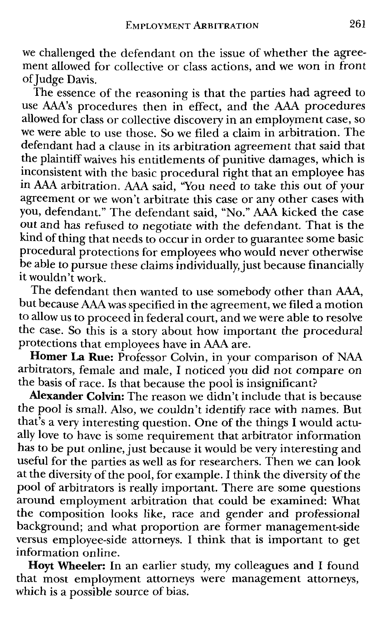we challenged the defendant on the issue of whether the agreement allowed for collective or class actions, and we won in front of Judge Davis.

The essence of the reasoning is that the parties had agreed to use AAA's procedures then in effect, and the AM procedures allowed for class or collective discovery in an employment case, so we were able to use those. So we filed a claim in arbitration. The defendant had a clause in its arbitration agreement that said that the plaintiff waives his entitlements of punitive damages, which is inconsistent with the basic procedural right that an employee has in AAA arbitration. AAA said, ''You need to take this out of your agreement or we won't arbitrate this case or any other cases with you, defendant." The defendant said, "No." AAA kicked the case out and has refused to negotiate with the defendant. That is the kind of thing that needs to occur in order to guarantee some basic procedural protections for employees who would never otherwise be able to pursue these claims individually, just because financially it wouldn't work.

The defendant then wanted to use somebody other than AAA, but because AAA was specified in the agreement, we filed a motion to allow us to proceed in federal court, and we were able to resolve the case. So this is a story about how important the procedural protections that employees have in AAA are.

**Homer La Rue:** Professor Colvin, in your comparison of NAA arbitrators, female and male, I noticed you did not compare on the basis of race. Is that because the pool is insignificant?

**Alexander Colvin:** The reason we didn't include that is because the pool is small. Also, we couldn't identify race with names. But that's a very interesting question. One of the things I would actually love to have is some requirement that arbitrator information has to be put online, just because it would be very interesting and useful for the parties as well as for researchers. Then we can look at the diversity of the pool, for example. I think the diversity of the pool of arbitrators is really important. There are some questions around employment arbitration that could be examined: What the composition looks like, race and gender and professional background; and what proportion are former management-side versus employee-side attorneys. I think that is important to get information online.

**Hoyt Wheeler:** In an earlier study, my colleagues and I found that most employment attorneys were management attorneys, which is a possible source of bias.